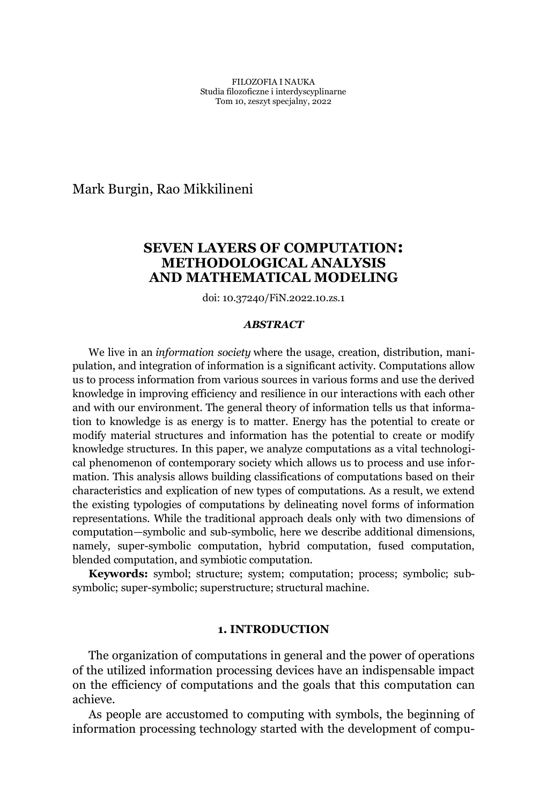Mark Burgin, Rao Mikkilineni

# **SEVEN LAYERS OF COMPUTATION: METHODOLOGICAL ANALYSIS AND MATHEMATICAL MODELING**

doi: 10.37240/FiN.2022.10.zs.1

#### *ABSTRACT*

We live in an *information society* where the usage, creation, distribution, manipulation, and integration of information is a significant activity. Computations allow us to process information from various sources in various forms and use the derived knowledge in improving efficiency and resilience in our interactions with each other and with our environment. The general theory of information tells us that information to knowledge is as energy is to matter. Energy has the potential to create or modify material structures and information has the potential to create or modify knowledge structures. In this paper, we analyze computations as a vital technological phenomenon of contemporary society which allows us to process and use information. This analysis allows building classifications of computations based on their characteristics and explication of new types of computations. As a result, we extend the existing typologies of computations by delineating novel forms of information representations. While the traditional approach deals only with two dimensions of computation—symbolic and sub-symbolic, here we describe additional dimensions, namely, super-symbolic computation, hybrid computation, fused computation, blended computation, and symbiotic computation.

**Keywords:** symbol; structure; system; computation; process; symbolic; subsymbolic; super-symbolic; superstructure; structural machine.

#### **1. INTRODUCTION**

The organization of computations in general and the power of operations of the utilized information processing devices have an indispensable impact on the efficiency of computations and the goals that this computation can achieve.

As people are accustomed to computing with symbols, the beginning of information processing technology started with the development of compu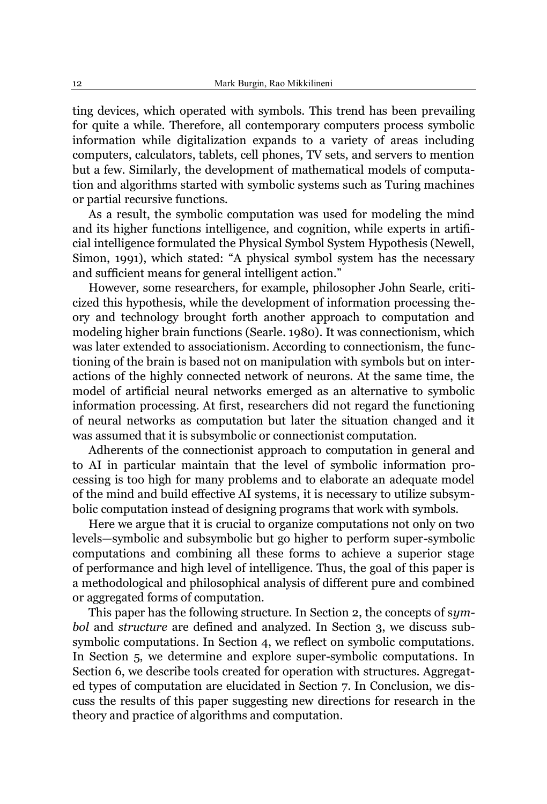ting devices, which operated with symbols. This trend has been prevailing for quite a while. Therefore, all contemporary computers process symbolic information while digitalization expands to a variety of areas including computers, calculators, tablets, cell phones, TV sets, and servers to mention but a few. Similarly, the development of mathematical models of computation and algorithms started with symbolic systems such as Turing machines or partial recursive functions.

As a result, the symbolic computation was used for modeling the mind and its higher functions intelligence, and cognition, while experts in artificial intelligence formulated the Physical Symbol System Hypothesis (Newell, Simon, 1991), which stated: "A physical symbol system has the necessary and sufficient means for general intelligent action."

However, some researchers, for example, philosopher John Searle, criticized this hypothesis, while the development of information processing theory and technology brought forth another approach to computation and modeling higher brain functions (Searle. 1980). It was connectionism, which was later extended to associationism. According to connectionism, the functioning of the brain is based not on manipulation with symbols but on interactions of the highly connected network of neurons. At the same time, the model of artificial neural networks emerged as an alternative to symbolic information processing. At first, researchers did not regard the functioning of neural networks as computation but later the situation changed and it was assumed that it is subsymbolic or connectionist computation.

Adherents of the connectionist approach to computation in general and to AI in particular maintain that the level of symbolic information processing is too high for many problems and to elaborate an adequate model of the mind and build effective AI systems, it is necessary to utilize subsymbolic computation instead of designing programs that work with symbols.

Here we argue that it is crucial to organize computations not only on two levels-symbolic and subsymbolic but go higher to perform super-symbolic computations and combining all these forms to achieve a superior stage of performance and high level of intelligence. Thus, the goal of this paper is a methodological and philosophical analysis of different pure and combined or aggregated forms of computation.

This paper has the following structure. In Section 2, the concepts of s*ymbol* and *structure* are defined and analyzed. In Section 3, we discuss subsymbolic computations. In Section 4, we reflect on symbolic computations. In Section 5, we determine and explore super-symbolic computations. In Section 6, we describe tools created for operation with structures. Aggregated types of computation are elucidated in Section 7. In Conclusion, we discuss the results of this paper suggesting new directions for research in the theory and practice of algorithms and computation.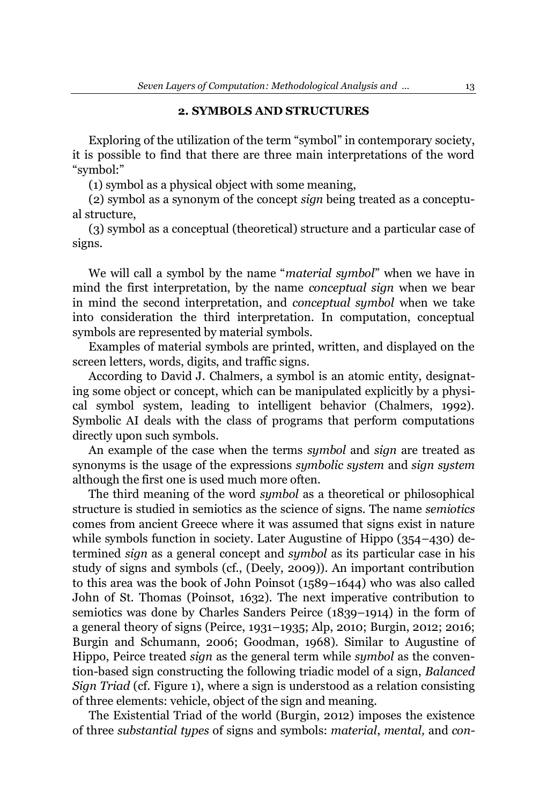## **2. SYMBOLS AND STRUCTURES**

Exploring of the utilization of the term "symbol" in contemporary society, it is possible to find that there are three main interpretations of the word "symbol:"

(1) symbol as a physical object with some meaning,

(2) symbol as a synonym of the concept *sign* being treated as a conceptual structure,

(3) symbol as a conceptual (theoretical) structure and a particular case of signs.

We will call a symbol by the name "*material symbol*" when we have in mind the first interpretation, by the name *conceptual sign* when we bear in mind the second interpretation, and *conceptual symbol* when we take into consideration the third interpretation. In computation, conceptual symbols are represented by material symbols.

Examples of material symbols are printed, written, and displayed on the screen letters, words, digits, and traffic signs.

According to David J. Chalmers, a symbol is an atomic entity, designating some object or concept, which can be manipulated explicitly by a physical symbol system, leading to intelligent behavior (Chalmers, 1992). Symbolic AI deals with the class of programs that perform computations directly upon such symbols.

An example of the case when the terms *symbol* and *sign* are treated as synonyms is the usage of the expressions *symbolic system* and *sign system* although the first one is used much more often.

The third meaning of the word *symbol* as a theoretical or philosophical structure is studied in semiotics as the science of signs. The name *semiotics* comes from ancient Greece where it was assumed that signs exist in nature while symbols function in society. Later Augustine of Hippo  $(354-430)$  determined *sign* as a general concept and *symbol* as its particular case in his study of signs and symbols (cf., (Deely, 2009)). An important contribution to this area was the book of John Poinsot  $(1589-1644)$  who was also called John of St. Thomas (Poinsot, 1632). The next imperative contribution to semiotics was done by Charles Sanders Peirce (1839–1914) in the form of a general theory of signs (Peirce, 1931–1935; Alp, 2010; Burgin, 2012; 2016; Burgin and Schumann, 2006; Goodman, 1968). Similar to Augustine of Hippo, Peirce treated *sign* as the general term while *symbol* as the convention-based sign constructing the following triadic model of a sign, *Balanced Sign Triad* (cf. Figure 1), where a sign is understood as a relation consisting of three elements: vehicle, object of the sign and meaning.

The Existential Triad of the world (Burgin, 2012) imposes the existence of three *substantial types* of signs and symbols: *material*, *mental,* and *con-*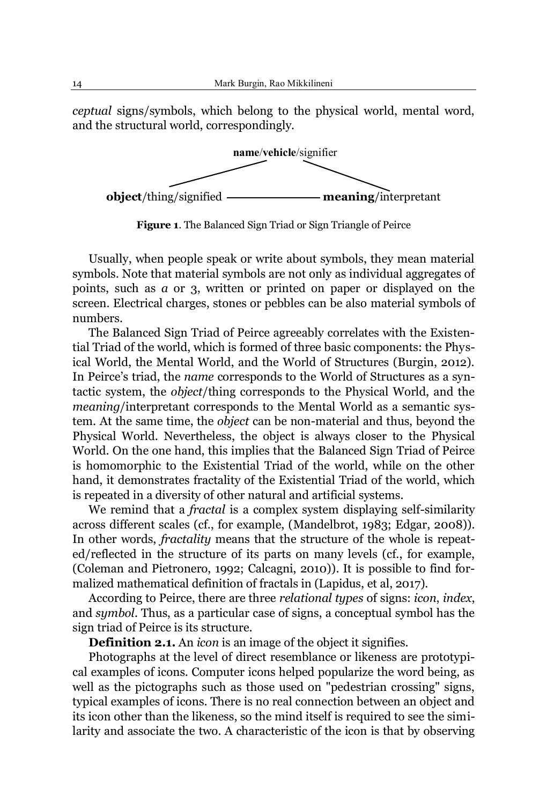*ceptual* signs/symbols, which belong to the physical world, mental word, and the structural world, correspondingly.



**Figure 1**. The Balanced Sign Triad or Sign Triangle of Peirce

Usually, when people speak or write about symbols, they mean material symbols. Note that material symbols are not only as individual aggregates of points, such as *a* or 3, written or printed on paper or displayed on the screen. Electrical charges, stones or pebbles can be also material symbols of numbers.

The Balanced Sign Triad of Peirce agreeably correlates with the Existential Triad of the world, which is formed of three basic components: the Physical World, the Mental World, and the World of Structures (Burgin, 2012). In Peirce's triad, the *name* corresponds to the World of Structures as a syntactic system, the *object*/thing corresponds to the Physical World, and the *meaning*/interpretant corresponds to the Mental World as a semantic system. At the same time, the *object* can be non-material and thus, beyond the Physical World. Nevertheless, the object is always closer to the Physical World. On the one hand, this implies that the Balanced Sign Triad of Peirce is homomorphic to the Existential Triad of the world, while on the other hand, it demonstrates fractality of the Existential Triad of the world, which is repeated in a diversity of other natural and artificial systems.

We remind that a *fractal* is a complex system displaying self-similarity across different scales (cf., for example, (Mandelbrot, 1983; Edgar, 2008)). In other words, *fractality* means that the structure of the whole is repeated/reflected in the structure of its parts on many levels (cf., for example, (Coleman and Pietronero, 1992; Calcagni, 2010)). It is possible to find formalized mathematical definition of fractals in (Lapidus, et al, 2017).

According to Peirce, there are three *relational types* of signs: *icon*, *index*, and *symbol*. Thus, as a particular case of signs, a conceptual symbol has the sign triad of Peirce is its structure.

**Definition 2.1.** An *icon* is an image of the object it signifies.

Photographs at the level of direct resemblance or likeness are prototypical examples of icons. Computer icons helped popularize the word being, as well as the pictographs such as those used on "pedestrian crossing" signs, typical examples of icons. There is no real connection between an object and its icon other than the likeness, so the mind itself is required to see the similarity and associate the two. A characteristic of the icon is that by observing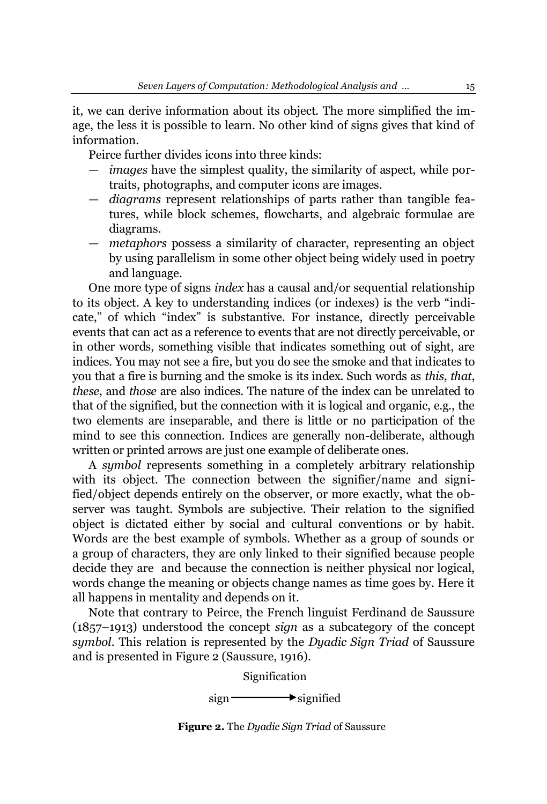it, we can derive information about its object. The more simplified the image, the less it is possible to learn. No other kind of signs gives that kind of information.

Peirce further divides icons into three kinds:

- *² images* have the simplest quality, the similarity of aspect, while portraits, photographs, and computer icons are images.
- *² diagrams* represent relationships of parts rather than tangible features, while block schemes, flowcharts, and algebraic formulae are diagrams.
- *² metaphors* possess a similarity of character, representing an object by using parallelism in some other object being widely used in poetry and language.

One more type of signs *index* has a causal and/or sequential relationship to its object. A key to understanding indices (or indexes) is the verb "indicate," of which "index" is substantive. For instance, directly perceivable events that can act as a reference to events that are not directly perceivable, or in other words, something visible that indicates something out of sight, are indices. You may not see a fire, but you do see the smoke and that indicates to you that a fire is burning and the smoke is its index. Such words as *this*, *that*, *these*, and *those* are also indices. The nature of the index can be unrelated to that of the signified, but the connection with it is logical and organic, e.g., the two elements are inseparable, and there is little or no participation of the mind to see this connection. Indices are generally non-deliberate, although written or printed arrows are just one example of deliberate ones.

A *symbol* represents something in a completely arbitrary relationship with its object. The connection between the signifier/name and signified/object depends entirely on the observer, or more exactly, what the observer was taught. Symbols are subjective. Their relation to the signified object is dictated either by social and cultural conventions or by habit. Words are the best example of symbols. Whether as a group of sounds or a group of characters, they are only linked to their signified because people decide they are and because the connection is neither physical nor logical, words change the meaning or objects change names as time goes by. Here it all happens in mentality and depends on it.

Note that contrary to Peirce, the French linguist Ferdinand de Saussure (1857±1913) understood the concept *sign* as a subcategory of the concept *symbol*. This relation is represented by the *Dyadic Sign Triad* of Saussure and is presented in Figure 2 (Saussure, 1916).

Signification

 $sign \longrightarrow$  signified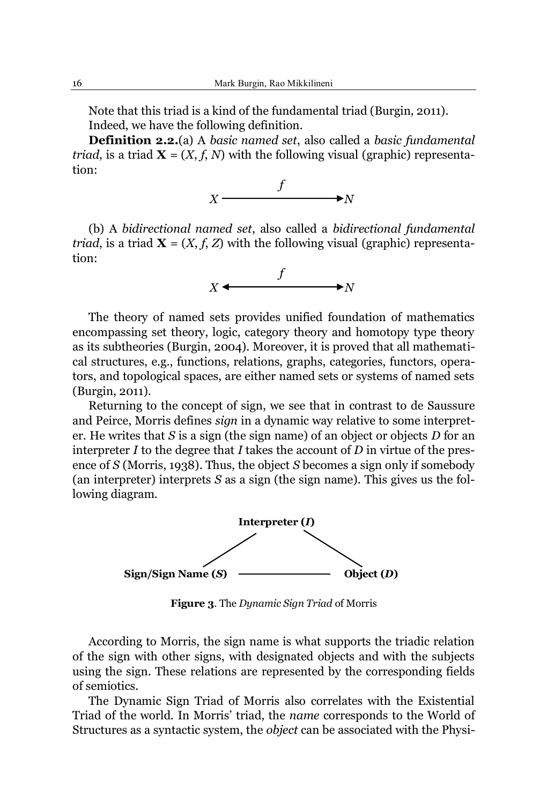Note that this triad is a kind of the fundamental triad (Burgin, 2011). Indeed, we have the following definition.

**Definition 2.2.**(a) A *basic named set*, also called a *basic fundamental triad*, is a triad  $X = (X, f, N)$  with the following visual (graphic) representation:



(b) A *bidirectional named set*, also called a *bidirectional fundamental triad*, is a triad  $X = (X, f, Z)$  with the following visual (graphic) representation:



The theory of named sets provides unified foundation of mathematics encompassing set theory, logic, category theory and homotopy type theory as its subtheories (Burgin, 2004). Moreover, it is proved that all mathematical structures, e.g., functions, relations, graphs, categories, functors, operators, and topological spaces, are either named sets or systems of named sets (Burgin, 2011).

Returning to the concept of sign, we see that in contrast to de Saussure and Peirce, Morris defines *sign* in a dynamic way relative to some interpreter. He writes that *S* is a sign (the sign name) of an object or objects *D* for an interpreter *I* to the degree that *I* takes the account of *D* in virtue of the presence of *S* (Morris, 1938). Thus, the object *S* becomes a sign only if somebody (an interpreter) interprets *S* as a sign (the sign name). This gives us the following diagram.



**Figure 3**. The *Dynamic Sign Triad* of Morris

According to Morris, the sign name is what supports the triadic relation of the sign with other signs, with designated objects and with the subjects using the sign. These relations are represented by the corresponding fields of semiotics.

The Dynamic Sign Triad of Morris also correlates with the Existential Triad of the world. In Morris' triad, the name corresponds to the World of Structures as a syntactic system, the *object* can be associated with the Physi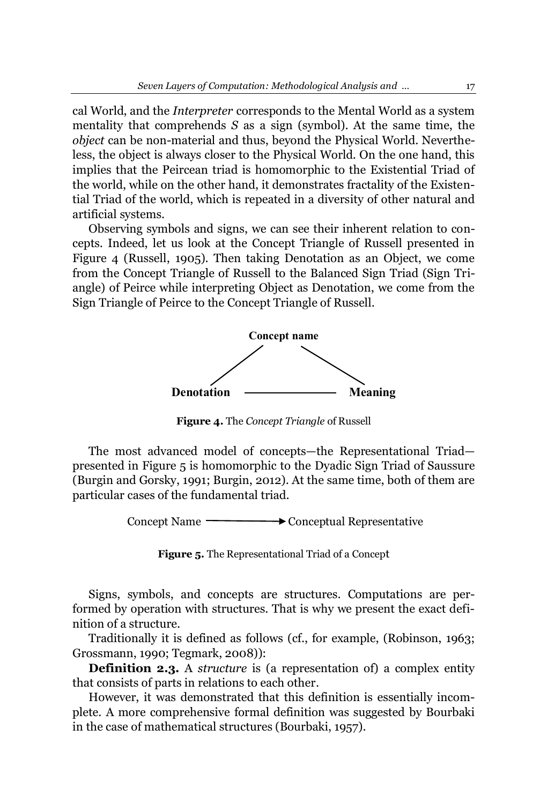cal World, and the *Interpreter* corresponds to the Mental World as a system mentality that comprehends *S* as a sign (symbol). At the same time, the *object* can be non-material and thus, beyond the Physical World. Nevertheless, the object is always closer to the Physical World. On the one hand, this implies that the Peircean triad is homomorphic to the Existential Triad of the world, while on the other hand, it demonstrates fractality of the Existential Triad of the world, which is repeated in a diversity of other natural and artificial systems.

Observing symbols and signs, we can see their inherent relation to concepts. Indeed, let us look at the Concept Triangle of Russell presented in Figure 4 (Russell, 1905). Then taking Denotation as an Object, we come from the Concept Triangle of Russell to the Balanced Sign Triad (Sign Triangle) of Peirce while interpreting Object as Denotation, we come from the Sign Triangle of Peirce to the Concept Triangle of Russell.



**Figure 4.** The *Concept Triangle* of Russell

The most advanced model of concepts—the Representational Triad presented in Figure 5 is homomorphic to the Dyadic Sign Triad of Saussure (Burgin and Gorsky, 1991; Burgin, 2012). At the same time, both of them are particular cases of the fundamental triad.

Concept Name  $\longrightarrow$  Conceptual Representative

**Figure 5.** The Representational Triad of a Concept

Signs, symbols, and concepts are structures. Computations are performed by operation with structures. That is why we present the exact definition of a structure.

Traditionally it is defined as follows (cf., for example, (Robinson, 1963; Grossmann, 1990; Tegmark, 2008)):

**Definition 2.3.** A *structure* is (a representation of) a complex entity that consists of parts in relations to each other.

However, it was demonstrated that this definition is essentially incomplete. A more comprehensive formal definition was suggested by Bourbaki in the case of mathematical structures (Bourbaki, 1957).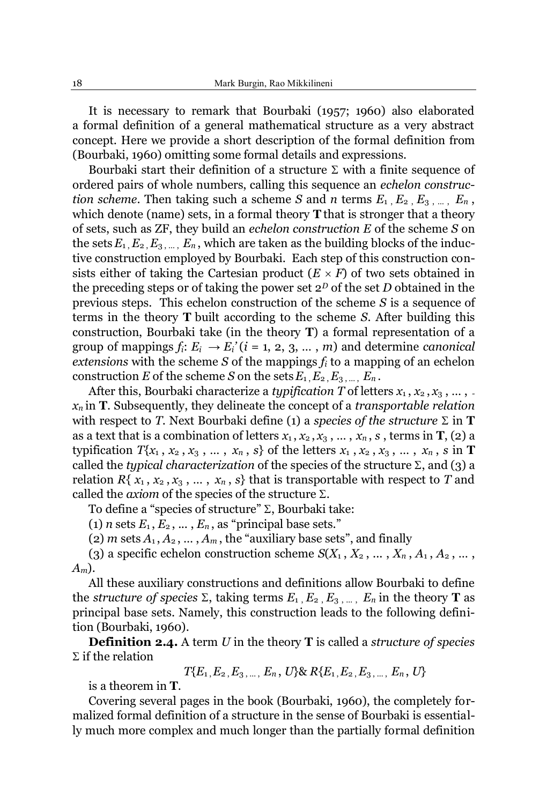It is necessary to remark that Bourbaki (1957; 1960) also elaborated a formal definition of a general mathematical structure as a very abstract concept. Here we provide a short description of the formal definition from (Bourbaki, 1960) omitting some formal details and expressions.

Bourbaki start their definition of a structure  $\Sigma$  with a finite sequence of ordered pairs of whole numbers, calling this sequence an *echelon construction scheme.* Then taking such a scheme *S* and *n* terms  $E_1, E_2, E_3, \ldots, E_n$ , which denote (name) sets, in a formal theory **T** that is stronger that a theory of sets, such as ZF, they build an *echelon construction E* of the scheme *S* on the sets  $E_1, E_2, E_3, \ldots, E_n$ , which are taken as the building blocks of the inductive construction employed by Bourbaki. Each step of this construction consists either of taking the Cartesian product  $(E \times F)$  of two sets obtained in the preceding steps or of taking the power set  $2^D$  of the set *D* obtained in the previous steps. This echelon construction of the scheme *S* is a sequence of terms in the theory **T** built according to the scheme *S*. After building this construction, Bourbaki take (in the theory **T**) a formal representation of a group of mappings  $f_i: E_i \to E_i$ '( $i = 1, 2, 3, ...$ , m) and determine *canonical extensions* with the scheme *S* of the mappings *fi* to a mapping of an echelon construction *E* of the scheme *S* on the sets  $E_1, E_2, E_3, \ldots, E_n$ .

After this, Bourbaki characterize a *typification T* of letters  $x_1, x_2, x_3, \ldots$ , *xn* in **T**. Subsequently, they delineate the concept of a *transportable relation* with respect to *T*. Next Bourbaki define (1) a *species of the structure*  $\Sigma$  in **T** as a text that is a combination of letters  $x_1, x_2, x_3, \ldots, x_n, s$ , terms in **T**, (2) a typification  $T\{x_1, x_2, x_3, \ldots, x_n, s\}$  of the letters  $x_1, x_2, x_3, \ldots, x_n, s$  in **T** called the *typical characterization* of the species of the structure  $\Sigma$ , and (3) a relation  $R\{x_1, x_2, x_3, ..., x_n, s\}$  that is transportable with respect to *T* and called the *axiom* of the species of the structure  $\Sigma$ .

To define a "species of structure"  $\Sigma$ , Bourbaki take:

(1) *n* sets  $E_1, E_2, \ldots, E_n$ , as "principal base sets."

(2) *m* sets  $A_1, A_2, \ldots, A_m$ , the "auxiliary base sets", and finally

(3) a specific echelon construction scheme  $S(X_1, X_2, \ldots, X_n, A_1, A_2, \ldots,$ *Am*).

All these auxiliary constructions and definitions allow Bourbaki to define the *structure* of *species*  $\Sigma$ , taking terms  $E_1, E_2, E_3, \dots, E_n$  in the theory **T** as principal base sets. Namely, this construction leads to the following definition (Bourbaki, 1960).

**Definition 2.4.** A term *U* in the theory **T** is called a *structure of species*   $\Sigma$  if the relation

 $T\{E_1, E_2, E_3, \ldots, E_n, U\}$ &  $R\{E_1, E_2, E_3, \ldots, E_n, U\}$ 

is a theorem in **T**.

Covering several pages in the book (Bourbaki, 1960), the completely formalized formal definition of a structure in the sense of Bourbaki is essentially much more complex and much longer than the partially formal definition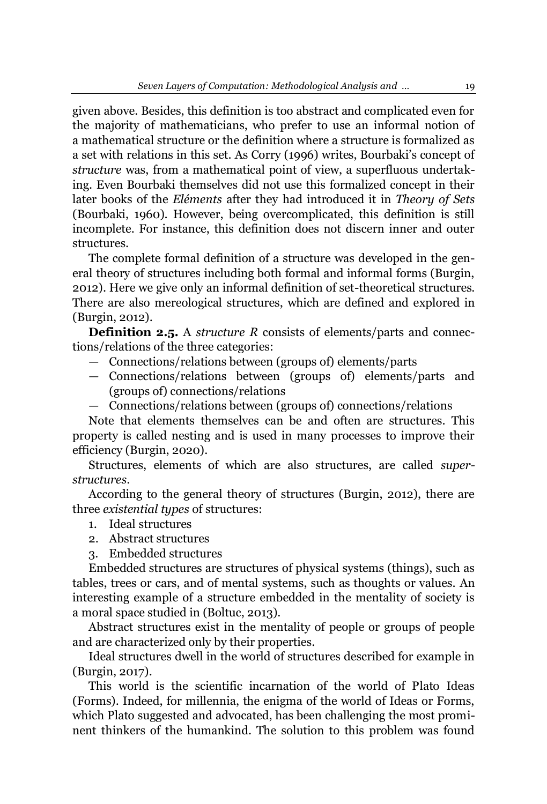given above. Besides, this definition is too abstract and complicated even for the majority of mathematicians, who prefer to use an informal notion of a mathematical structure or the definition where a structure is formalized as a set with relations in this set. As Corry (1996) writes, Bourbaki's concept of *structure* was, from a mathematical point of view, a superfluous undertaking. Even Bourbaki themselves did not use this formalized concept in their later books of the *Eléments* after they had introduced it in *Theory of Sets* (Bourbaki, 1960). However, being overcomplicated, this definition is still incomplete. For instance, this definition does not discern inner and outer structures.

The complete formal definition of a structure was developed in the general theory of structures including both formal and informal forms (Burgin, 2012). Here we give only an informal definition of set-theoretical structures. There are also mereological structures, which are defined and explored in (Burgin, 2012).

**Definition 2.5.** A *structure R* consists of elements/parts and connections/relations of the three categories:

- Connections/relations between (groups of) elements/parts
- *²* Connections/relations between (groups of) elements/parts and (groups of) connections/relations
- *²* Connections/relations between (groups of) connections/relations

Note that elements themselves can be and often are structures. This property is called nesting and is used in many processes to improve their efficiency (Burgin, 2020).

Structures, elements of which are also structures, are called *superstructures*.

According to the general theory of structures (Burgin, 2012), there are three *existential types* of structures:

- 1. Ideal structures
- 2. Abstract structures
- 3. Embedded structures

Embedded structures are structures of physical systems (things), such as tables, trees or cars, and of mental systems, such as thoughts or values. An interesting example of a structure embedded in the mentality of society is a moral space studied in (Boltuc, 2013).

Abstract structures exist in the mentality of people or groups of people and are characterized only by their properties.

Ideal structures dwell in the world of structures described for example in (Burgin, 2017).

This world is the scientific incarnation of the world of Plato Ideas (Forms). Indeed, for millennia, the enigma of the world of Ideas or Forms, which Plato suggested and advocated, has been challenging the most prominent thinkers of the humankind. The solution to this problem was found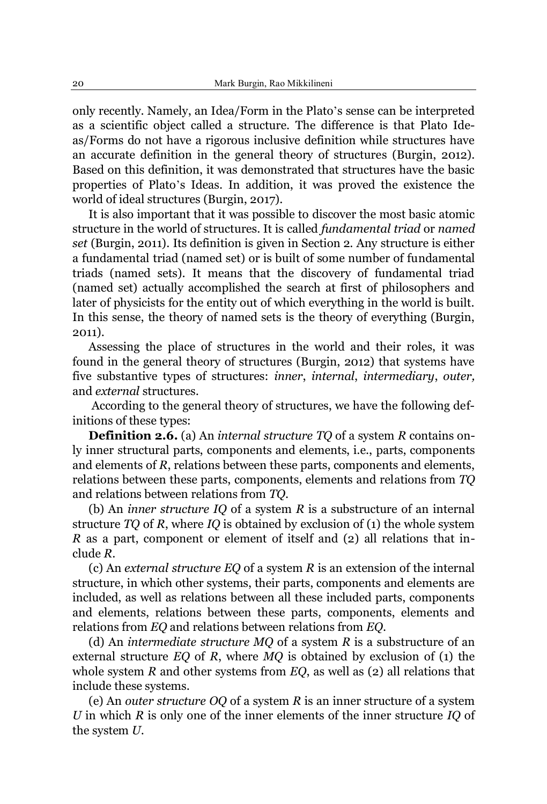only recently. Namely, an Idea/Form in the Platoތs sense can be interpreted as a scientific object called a structure. The difference is that Plato Ideas/Forms do not have a rigorous inclusive definition while structures have an accurate definition in the general theory of structures (Burgin, 2012). Based on this definition, it was demonstrated that structures have the basic properties of Platoތs Ideas. In addition, it was proved the existence the world of ideal structures (Burgin, 2017).

It is also important that it was possible to discover the most basic atomic structure in the world of structures. It is called *fundamental triad* or *named set* (Burgin, 2011). Its definition is given in Section 2. Any structure is either a fundamental triad (named set) or is built of some number of fundamental triads (named sets). It means that the discovery of fundamental triad (named set) actually accomplished the search at first of philosophers and later of physicists for the entity out of which everything in the world is built. In this sense, the theory of named sets is the theory of everything (Burgin, 2011).

Assessing the place of structures in the world and their roles, it was found in the general theory of structures (Burgin, 2012) that systems have five substantive types of structures: *inner*, *internal*, *intermediary*, *outer,* and *external* structures.

According to the general theory of structures, we have the following definitions of these types:

**Definition 2.6.** (a) An *internal structure TQ* of a system *R* contains only inner structural parts, components and elements, i.e., parts, components and elements of *R*, relations between these parts, components and elements, relations between these parts, components, elements and relations from *TQ* and relations between relations from *TQ*.

(b) An *inner structure IQ* of a system *R* is a substructure of an internal structure *TQ* of *R*, where *IQ* is obtained by exclusion of (1) the whole system *R* as a part, component or element of itself and (2) all relations that include *R*.

(c) An *external structure EQ* of a system *R* is an extension of the internal structure, in which other systems, their parts, components and elements are included, as well as relations between all these included parts, components and elements, relations between these parts, components, elements and relations from *EQ* and relations between relations from *EQ*.

(d) An *intermediate structure MQ* of a system *R* is a substructure of an external structure *EQ* of *R*, where *MQ* is obtained by exclusion of (1) the whole system *R* and other systems from *EQ*, as well as (2) all relations that include these systems.

(e) An *outer structure OQ* of a system *R* is an inner structure of a system *U* in which *R* is only one of the inner elements of the inner structure *IQ* of the system *U*.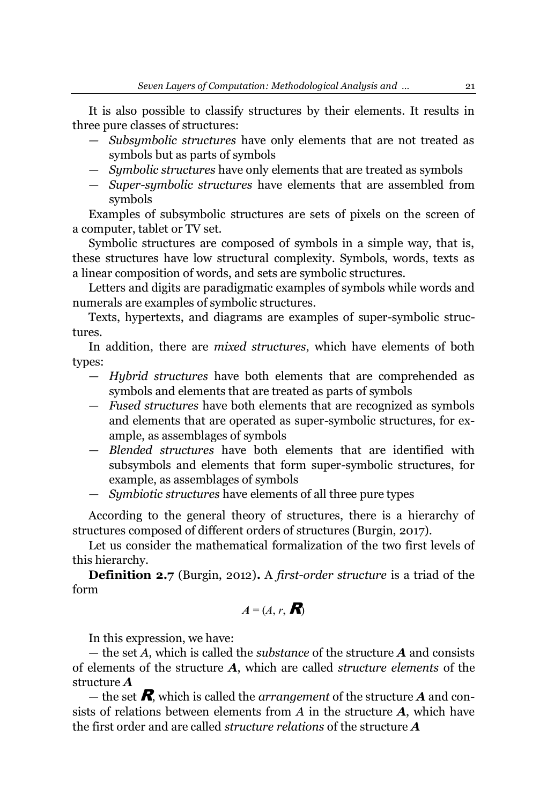It is also possible to classify structures by their elements. It results in three pure classes of structures:

- *² Subsymbolic structures* have only elements that are not treated as symbols but as parts of symbols
- $-$  *Symbolic structures* have only elements that are treated as symbols
- *² Super-symbolic structures* have elements that are assembled from symbols

Examples of subsymbolic structures are sets of pixels on the screen of a computer, tablet or TV set.

Symbolic structures are composed of symbols in a simple way, that is, these structures have low structural complexity. Symbols, words, texts as a linear composition of words, and sets are symbolic structures.

Letters and digits are paradigmatic examples of symbols while words and numerals are examples of symbolic structures.

Texts, hypertexts, and diagrams are examples of super-symbolic structures.

In addition, there are *mixed structures*, which have elements of both types:

- $-$  *Hybrid structures* have both elements that are comprehended as symbols and elements that are treated as parts of symbols
- *² Fused structures* have both elements that are recognized as symbols and elements that are operated as super-symbolic structures, for example, as assemblages of symbols
- *² Blended structures* have both elements that are identified with subsymbols and elements that form super-symbolic structures, for example, as assemblages of symbols
- *Symbiotic structures* have elements of all three pure types

According to the general theory of structures, there is a hierarchy of structures composed of different orders of structures (Burgin, 2017).

Let us consider the mathematical formalization of the two first levels of this hierarchy.

**Definition 2.7** (Burgin, 2012)**.** A *first-order structure* is a triad of the form

$$
A=(A,r,\boldsymbol{R})
$$

In this expression, we have:

 $-$  the set *A*, which is called the *substance* of the structure *A* and consists of elements of the structure *A*, which are called *structure elements* of the structure *A*

 $-$  the set  $\mathcal{R}$ , which is called the *arrangement* of the structure A and consists of relations between elements from *A* in the structure *A*, which have the first order and are called *structure relations* of the structure *A*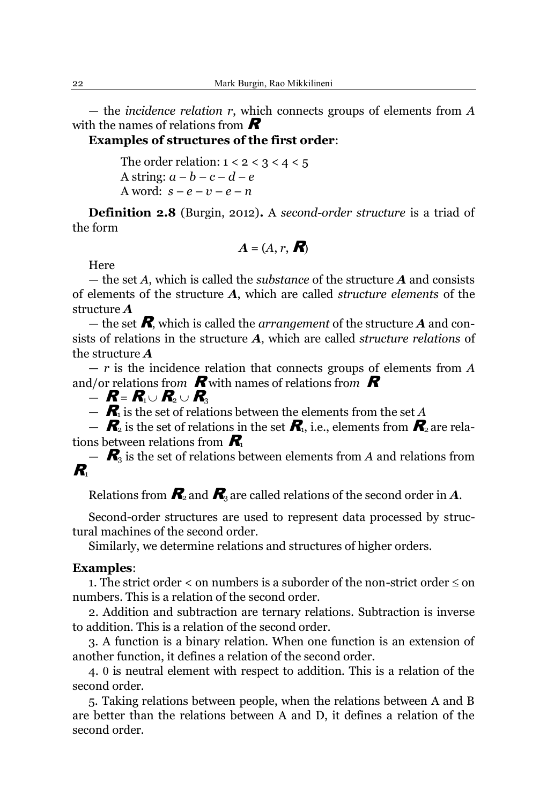$-$  the *incidence relation r*, which connects groups of elements from *A* with the names of relations from  $\mathbf{R}$ 

## **Examples of structures of the first order**:

The order relation:  $1 < 2 < 3 < 4 < 5$ A string:  $a - b - c - d - e$ A word:  $s - e - v - e - n$ 

**Definition 2.8** (Burgin, 2012)**.** A *second-order structure* is a triad of the form

$$
\mathbf{A} = (A, r, \mathbf{R})
$$

Here

 $-$  the set *A*, which is called the *substance* of the structure *A* and consists of elements of the structure *A*, which are called *structure elements* of the structure *A*

 $-$  the set  $\mathbf{R}$ , which is called the *arrangement* of the structure  $\mathbf{A}$  and consists of relations in the structure *A*, which are called *structure relations* of the structure *A*

 $- r$  is the incidence relation that connects groups of elements from  $A$ and/or relations from  $\mathbf{\mathcal{R}}$  with names of relations from  $\mathbf{\mathcal{R}}$ 

 $\bm{R}$  =  $\bm{R}$   $\cup$   $\bm{R}$   $\cup$   $\bm{R}$ 

 $\blacktriangleright$  **R**<sub>1</sub> is the set of relations between the elements from the set A

 $\overline{\mathbf{R}}_2$  is the set of relations in the set  $\overline{\mathbf{R}}_1$ , i.e., elements from  $\overline{\mathbf{R}}_2$  are relations between relations from  $R_1$ 

 $\overline{\mathbf{R}}_3$  is the set of relations between elements from *A* and relations from  $R<sub>1</sub>$ 

Relations from  $\mathcal{R}_2$  and  $\mathcal{R}_3$  are called relations of the second order in A.

Second-order structures are used to represent data processed by structural machines of the second order.

Similarly, we determine relations and structures of higher orders.

## **Examples**:

1. The strict order  $\leq$  on numbers is a suborder of the non-strict order  $\leq$  on numbers. This is a relation of the second order.

2. Addition and subtraction are ternary relations. Subtraction is inverse to addition. This is a relation of the second order.

3. A function is a binary relation. When one function is an extension of another function, it defines a relation of the second order.

4. 0 is neutral element with respect to addition. This is a relation of the second order.

5. Taking relations between people, when the relations between A and B are better than the relations between A and D, it defines a relation of the second order.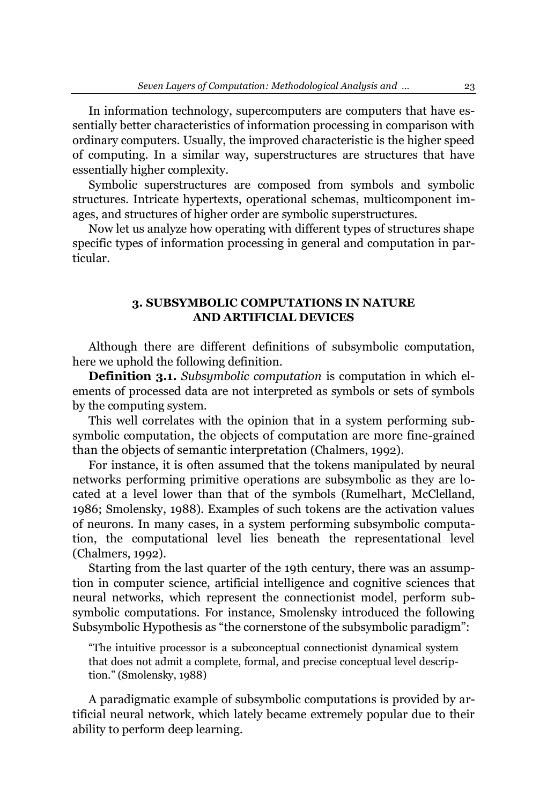In information technology, supercomputers are computers that have essentially better characteristics of information processing in comparison with ordinary computers. Usually, the improved characteristic is the higher speed of computing. In a similar way, superstructures are structures that have essentially higher complexity.

Symbolic superstructures are composed from symbols and symbolic structures. Intricate hypertexts, operational schemas, multicomponent images, and structures of higher order are symbolic superstructures.

Now let us analyze how operating with different types of structures shape specific types of information processing in general and computation in particular.

## **3. SUBSYMBOLIC COMPUTATIONS IN NATURE AND ARTIFICIAL DEVICES**

Although there are different definitions of subsymbolic computation, here we uphold the following definition.

**Definition 3.1.** *Subsymbolic computation* is computation in which elements of processed data are not interpreted as symbols or sets of symbols by the computing system.

This well correlates with the opinion that in a system performing subsymbolic computation, the objects of computation are more fine-grained than the objects of semantic interpretation (Chalmers, 1992).

For instance, it is often assumed that the tokens manipulated by neural networks performing primitive operations are subsymbolic as they are located at a level lower than that of the symbols (Rumelhart, McClelland, 1986; Smolensky, 1988). Examples of such tokens are the activation values of neurons. In many cases, in a system performing subsymbolic computation, the computational level lies beneath the representational level (Chalmers, 1992).

Starting from the last quarter of the 19th century, there was an assumption in computer science, artificial intelligence and cognitive sciences that neural networks, which represent the connectionist model, perform subsymbolic computations. For instance, Smolensky introduced the following Subsymbolic Hypothesis as "the cornerstone of the subsymbolic paradigm":

"The intuitive processor is a subconceptual connectionist dynamical system that does not admit a complete, formal, and precise conceptual level descrip- $\lim$ ." (Smolensky, 1988)

A paradigmatic example of subsymbolic computations is provided by artificial neural network, which lately became extremely popular due to their ability to perform deep learning.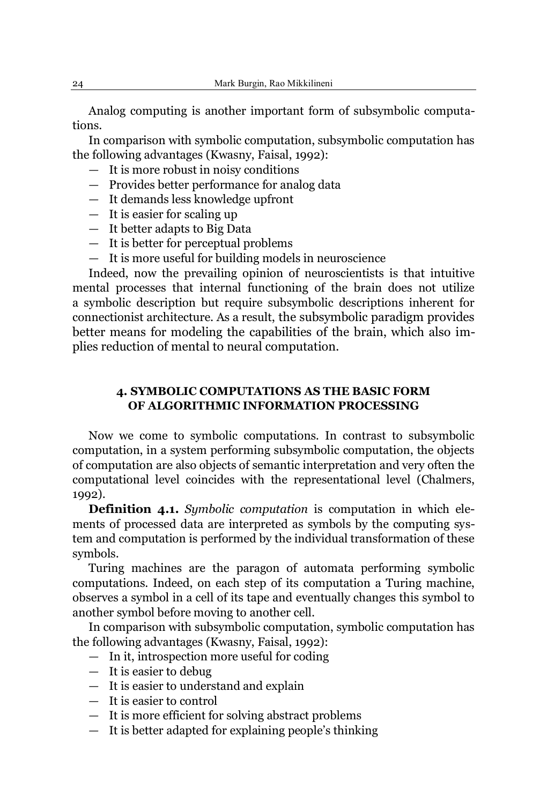Analog computing is another important form of subsymbolic computations.

In comparison with symbolic computation, subsymbolic computation has the following advantages (Kwasny, Faisal, 1992):

- $-$  It is more robust in noisy conditions
- $-$  Provides better performance for analog data
- $-$  It demands less knowledge upfront
- $-$  It is easier for scaling up
- *²* It better adapts to Big Data
- $-$  It is better for perceptual problems
- $-$  It is more useful for building models in neuroscience

Indeed, now the prevailing opinion of neuroscientists is that intuitive mental processes that internal functioning of the brain does not utilize a symbolic description but require subsymbolic descriptions inherent for connectionist architecture. As a result, the subsymbolic paradigm provides better means for modeling the capabilities of the brain, which also implies reduction of mental to neural computation.

## **4. SYMBOLIC COMPUTATIONS AS THE BASIC FORM OF ALGORITHMIC INFORMATION PROCESSING**

Now we come to symbolic computations. In contrast to subsymbolic computation, in a system performing subsymbolic computation, the objects of computation are also objects of semantic interpretation and very often the computational level coincides with the representational level (Chalmers, 1992).

**Definition 4.1.** *Symbolic computation* is computation in which elements of processed data are interpreted as symbols by the computing system and computation is performed by the individual transformation of these symbols.

Turing machines are the paragon of automata performing symbolic computations. Indeed, on each step of its computation a Turing machine, observes a symbol in a cell of its tape and eventually changes this symbol to another symbol before moving to another cell.

In comparison with subsymbolic computation, symbolic computation has the following advantages (Kwasny, Faisal, 1992):

- $-$  In it, introspection more useful for coding
- $-$  It is easier to debug
- $-$  It is easier to understand and explain
- $-$  It is easier to control
- $-$  It is more efficient for solving abstract problems
- It is better adapted for explaining people's thinking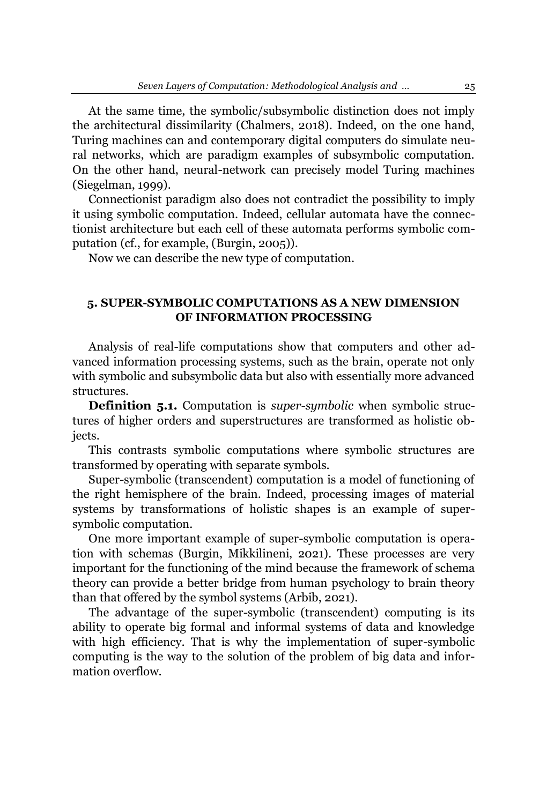At the same time, the symbolic/subsymbolic distinction does not imply the architectural dissimilarity (Chalmers, 2018). Indeed, on the one hand, Turing machines can and contemporary digital computers do simulate neural networks, which are paradigm examples of subsymbolic computation. On the other hand, neural-network can precisely model Turing machines (Siegelman, 1999).

Connectionist paradigm also does not contradict the possibility to imply it using symbolic computation. Indeed, cellular automata have the connectionist architecture but each cell of these automata performs symbolic computation (cf., for example, (Burgin, 2005)).

Now we can describe the new type of computation.

## **5. SUPER-SYMBOLIC COMPUTATIONS AS A NEW DIMENSION OF INFORMATION PROCESSING**

Analysis of real-life computations show that computers and other advanced information processing systems, such as the brain, operate not only with symbolic and subsymbolic data but also with essentially more advanced structures.

**Definition 5.1.** Computation is *super-symbolic* when symbolic structures of higher orders and superstructures are transformed as holistic objects.

This contrasts symbolic computations where symbolic structures are transformed by operating with separate symbols.

Super-symbolic (transcendent) computation is a model of functioning of the right hemisphere of the brain. Indeed, processing images of material systems by transformations of holistic shapes is an example of supersymbolic computation.

One more important example of super-symbolic computation is operation with schemas (Burgin, Mikkilineni, 2021). These processes are very important for the functioning of the mind because the framework of schema theory can provide a better bridge from human psychology to brain theory than that offered by the symbol systems (Arbib, 2021).

The advantage of the super-symbolic (transcendent) computing is its ability to operate big formal and informal systems of data and knowledge with high efficiency. That is why the implementation of super-symbolic computing is the way to the solution of the problem of big data and information overflow.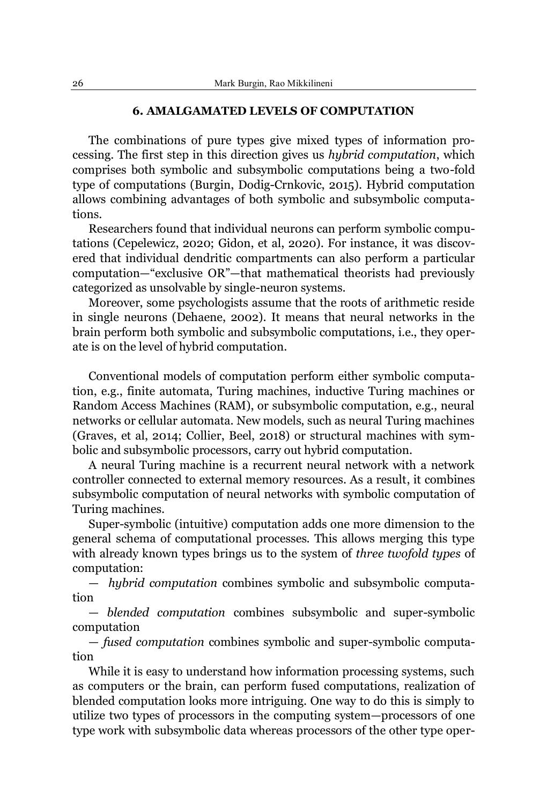## **6. AMALGAMATED LEVELS OF COMPUTATION**

The combinations of pure types give mixed types of information processing. The first step in this direction gives us *hybrid computation*, which comprises both symbolic and subsymbolic computations being a two-fold type of computations (Burgin, Dodig-Crnkovic, 2015). Hybrid computation allows combining advantages of both symbolic and subsymbolic computations.

Researchers found that individual neurons can perform symbolic computations (Cepelewicz, 2020; Gidon, et al, 2020). For instance, it was discovered that individual dendritic compartments can also perform a particular computation—"exclusive OR"—that mathematical theorists had previously categorized as unsolvable by single-neuron systems.

Moreover, some psychologists assume that the roots of arithmetic reside in single neurons (Dehaene, 2002). It means that neural networks in the brain perform both symbolic and subsymbolic computations, i.e., they operate is on the level of hybrid computation.

Conventional models of computation perform either symbolic computation, e.g., finite automata, Turing machines, inductive Turing machines or Random Access Machines (RAM), or subsymbolic computation, e.g., neural networks or cellular automata. New models, such as neural Turing machines (Graves, et al, 2014; Collier, Beel, 2018) or structural machines with symbolic and subsymbolic processors, carry out hybrid computation.

A neural Turing machine is a recurrent neural network with a network controller connected to external memory resources. As a result, it combines subsymbolic computation of neural networks with symbolic computation of Turing machines.

Super-symbolic (intuitive) computation adds one more dimension to the general schema of computational processes. This allows merging this type with already known types brings us to the system of *three twofold types* of computation:

 $-$  *hybrid computation* combines symbolic and subsymbolic computation

 $-$  *blended computation* combines subsymbolic and super-symbolic computation

 $-$  *fused computation* combines symbolic and super-symbolic computation

While it is easy to understand how information processing systems, such as computers or the brain, can perform fused computations, realization of blended computation looks more intriguing. One way to do this is simply to utilize two types of processors in the computing system-processors of one type work with subsymbolic data whereas processors of the other type oper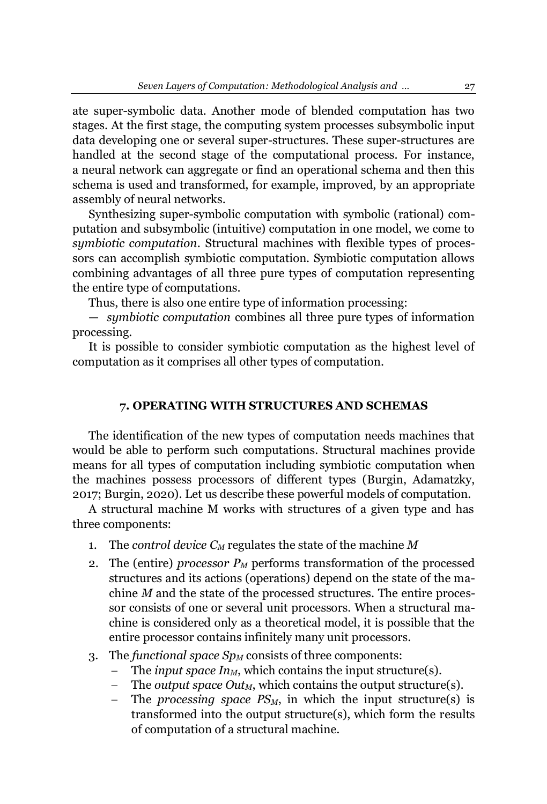ate super-symbolic data. Another mode of blended computation has two stages. At the first stage, the computing system processes subsymbolic input data developing one or several super-structures. These super-structures are handled at the second stage of the computational process. For instance, a neural network can aggregate or find an operational schema and then this schema is used and transformed, for example, improved, by an appropriate assembly of neural networks.

Synthesizing super-symbolic computation with symbolic (rational) computation and subsymbolic (intuitive) computation in one model, we come to *symbiotic computation*. Structural machines with flexible types of processors can accomplish symbiotic computation. Symbiotic computation allows combining advantages of all three pure types of computation representing the entire type of computations.

Thus, there is also one entire type of information processing:

² *symbiotic computation* combines all three pure types of information processing.

It is possible to consider symbiotic computation as the highest level of computation as it comprises all other types of computation.

## **7. OPERATING WITH STRUCTURES AND SCHEMAS**

The identification of the new types of computation needs machines that would be able to perform such computations. Structural machines provide means for all types of computation including symbiotic computation when the machines possess processors of different types (Burgin, Adamatzky, 2017; Burgin, 2020). Let us describe these powerful models of computation.

A structural machine M works with structures of a given type and has three components:

- 1. The *control device CM* regulates the state of the machine *M*
- 2. The (entire) *processor*  $P_M$  performs transformation of the processed structures and its actions (operations) depend on the state of the machine *M* and the state of the processed structures. The entire processor consists of one or several unit processors. When a structural machine is considered only as a theoretical model, it is possible that the entire processor contains infinitely many unit processors.
- 3. The *functional space Sp<sub>M</sub>* consists of three components:
	- The *input space*  $In<sub>M</sub>$ , which contains the input structure(s).
	- The *output space Out<sub>M</sub>*, which contains the output structure(s).
	- The *processing space PS<sub>M</sub>*, in which the input structure(s) is transformed into the output structure(s), which form the results of computation of a structural machine*.*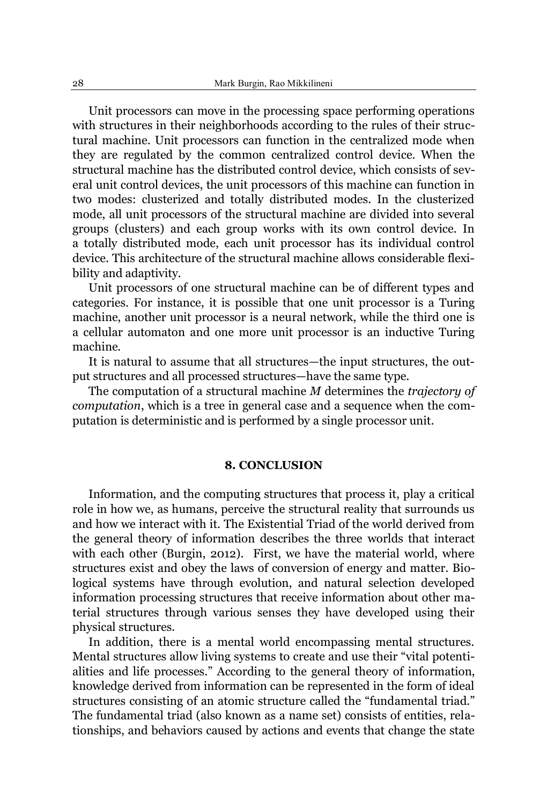Unit processors can move in the processing space performing operations with structures in their neighborhoods according to the rules of their structural machine. Unit processors can function in the centralized mode when they are regulated by the common centralized control device. When the structural machine has the distributed control device, which consists of several unit control devices, the unit processors of this machine can function in two modes: clusterized and totally distributed modes. In the clusterized mode, all unit processors of the structural machine are divided into several groups (clusters) and each group works with its own control device. In a totally distributed mode, each unit processor has its individual control device. This architecture of the structural machine allows considerable flexibility and adaptivity.

Unit processors of one structural machine can be of different types and categories. For instance, it is possible that one unit processor is a Turing machine, another unit processor is a neural network, while the third one is a cellular automaton and one more unit processor is an inductive Turing machine.

It is natural to assume that all structures—the input structures, the output structures and all processed structures—have the same type.

The computation of a structural machine *M* determines the *trajectory of computation*, which is a tree in general case and a sequence when the computation is deterministic and is performed by a single processor unit.

## **8. CONCLUSION**

Information, and the computing structures that process it, play a critical role in how we, as humans, perceive the structural reality that surrounds us and how we interact with it. The Existential Triad of the world derived from the general theory of information describes the three worlds that interact with each other (Burgin, 2012). First, we have the material world, where structures exist and obey the laws of conversion of energy and matter. Biological systems have through evolution, and natural selection developed information processing structures that receive information about other material structures through various senses they have developed using their physical structures.

In addition, there is a mental world encompassing mental structures. Mental structures allow living systems to create and use their "vital potentialities and life processes." According to the general theory of information, knowledge derived from information can be represented in the form of ideal structures consisting of an atomic structure called the "fundamental triad." The fundamental triad (also known as a name set) consists of entities, relationships, and behaviors caused by actions and events that change the state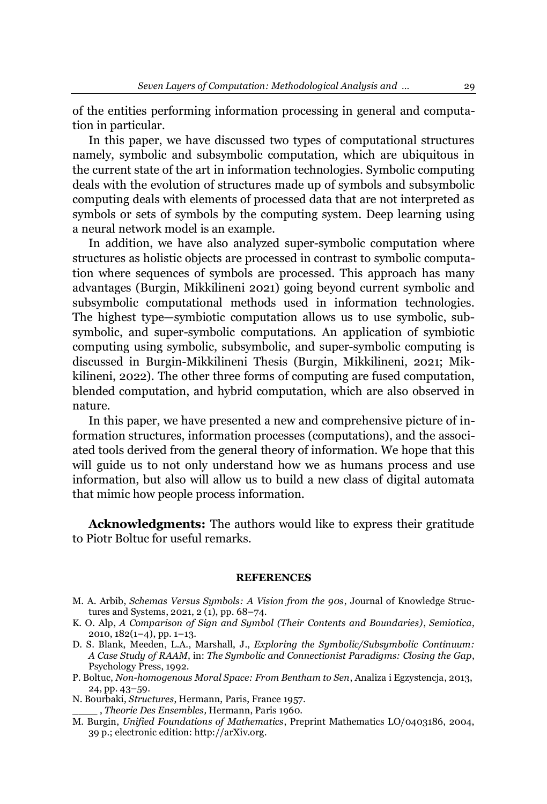of the entities performing information processing in general and computation in particular.

In this paper, we have discussed two types of computational structures namely, symbolic and subsymbolic computation, which are ubiquitous in the current state of the art in information technologies. Symbolic computing deals with the evolution of structures made up of symbols and subsymbolic computing deals with elements of processed data that are not interpreted as symbols or sets of symbols by the computing system. Deep learning using a neural network model is an example.

In addition, we have also analyzed super-symbolic computation where structures as holistic objects are processed in contrast to symbolic computation where sequences of symbols are processed. This approach has many advantages (Burgin, Mikkilineni 2021) going beyond current symbolic and subsymbolic computational methods used in information technologies. The highest type—symbiotic computation allows us to use symbolic, subsymbolic, and super-symbolic computations. An application of symbiotic computing using symbolic, subsymbolic, and super-symbolic computing is discussed in Burgin-Mikkilineni Thesis (Burgin, Mikkilineni, 2021; Mikkilineni, 2022). The other three forms of computing are fused computation, blended computation, and hybrid computation, which are also observed in nature.

In this paper, we have presented a new and comprehensive picture of information structures, information processes (computations), and the associated tools derived from the general theory of information. We hope that this will guide us to not only understand how we as humans process and use information, but also will allow us to build a new class of digital automata that mimic how people process information.

**Acknowledgments:** The authors would like to express their gratitude to Piotr Boltuc for useful remarks.

#### **REFERENCES**

- M. A. Arbib, *Schemas Versus Symbols: A Vision from the 90s*, Journal of Knowledge Structures and Systems, 2021, 2 (1), pp.  $68-74$ .
- K. O. Alp, *A Comparison of Sign and Symbol (Their Contents and Boundaries)*, *Semiotica*,  $2010$ ,  $182(1-4)$ , pp.  $1-13$ .
- D. S. Blank, Meeden, L.A., Marshall, J., *Exploring the Symbolic/Subsymbolic Continuum: A Case Study of RAAM*, in: *The Symbolic and Connectionist Paradigms: Closing the Gap*, Psychology Press, 1992.
- P. Boltuc, *Non-homogenous Moral Space: From Bentham to Sen*, Analiza i Egzystencja, 2013, 24, pp. 43±59.
- N. Bourbaki, *Structures*, Hermann, Paris, France 1957. \_\_\_\_ , *Theorie Des Ensembles,* Hermann, Paris 1960.
- M. Burgin, *Unified Foundations of Mathematics*, Preprint Mathematics LO/0403186, 2004, 39 p.; electronic edition: http://arXiv.org.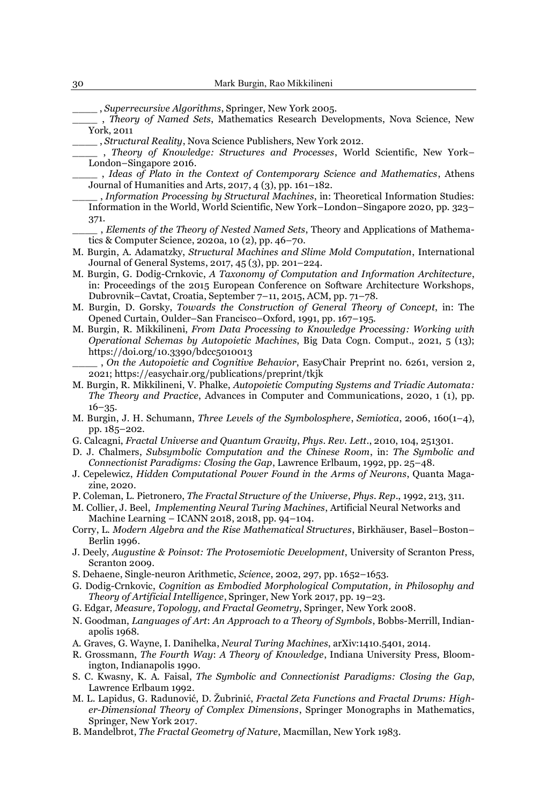\_\_\_\_ , *Superrecursive Algorithms*, Springer, New York 2005.

\_\_\_\_ , *Theory of Named Sets*, Mathematics Research Developments, Nova Science, New York, 2011

\_\_\_\_ , *Structural Reality*, Nova Science Publishers, New York 2012.

\_\_\_\_ , *Theory of Knowledge: Structures and Processes*, World Scientific, New York± London-Singapore 2016.

\_\_\_\_ , *Ideas of Plato in the Context of Contemporary Science and Mathematics*, Athens Journal of Humanities and Arts, 2017, 4  $(3)$ , pp. 161-182.

\_\_\_\_ , *Information Processing by Structural Machines*, in: Theoretical Information Studies: Information in the World, World Scientific, New York-London-Singapore 2020, pp. 323-371.

\_\_\_\_ , *Elements of the Theory of Nested Named Sets*, Theory and Applications of Mathematics & Computer Science, 2020a, 10 $(2)$ , pp. 46–70.

- M. Burgin, A. Adamatzky, *Structural Machines and Slime Mold Computation*, International Journal of General Systems, 2017, 45 (3), pp. 201-224.
- M. Burgin, G. Dodig-Crnkovic, *A Taxonomy of Computation and Information Architecture*, in: Proceedings of the 2015 European Conference on Software Architecture Workshops, Dubrovnik-Cavtat, Croatia, September 7-11, 2015, ACM, pp. 71-78.
- M. Burgin, D. Gorsky, *Towards the Construction of General Theory of Concept*, in: The Opened Curtain, Oulder–San Francisco–Oxford, 1991, pp. 167–195.
- M. Burgin, R. Mikkilineni, *From Data Processing to Knowledge Processing: Working with Operational Schemas by Autopoietic Machines*, Big Data Cogn. Comput., 2021, 5 (13); https://doi.org/10.3390/bdcc5010013
- \_\_\_\_ , *On the Autopoietic and Cognitive Behavior*, EasyChair Preprint no. 6261, version 2, 2021; https://easychair.org/publications/preprint/tkjk
- M. Burgin, R. Mikkilineni, V. Phalke, *Autopoietic Computing Systems and Triadic Automata: The Theory and Practice*, Advances in Computer and Communications, 2020, 1 (1), pp.  $16 - 35.$
- M. Burgin, J. H. Schumann, *Three Levels of the Symbolosphere*, *Semiotica*, 2006, 160(1-4), pp. 185±202.
- G. Calcagni, *Fractal Universe and Quantum Gravity*, *Phys. Rev. Lett*., 2010, 104, 251301.
- D. J. Chalmers, *Subsymbolic Computation and the Chinese Room*, in: *The Symbolic and Connectionist Paradigms: Closing the Gap*, Lawrence Erlbaum, 1992, pp. 25–48.
- J. Cepelewicz, *Hidden Computational Power Found in the Arms of Neurons*, Quanta Magazine, 2020.
- P. Coleman, L. Pietronero, *The Fractal Structure of the Universe*, *Phys. Rep*., 1992, 213, 311.
- M. Collier, J. Beel, *Implementing Neural Turing Machines*, Artificial Neural Networks and Machine Learning - ICANN 2018, 2018, pp. 94-104.
- Corry, L. *Modern Algebra and the Rise Mathematical Structures*, Birkhäuser, Basel-Boston-Berlin 1996.
- J. Deely, *Augustine & Poinsot: The Protosemiotic Development*, University of Scranton Press, Scranton 2009.
- S. Dehaene, Single-neuron Arithmetic, *Science*, 2002, 297, pp. 1652-1653.
- G. Dodig-Crnkovic, *Cognition as Embodied Morphological Computation, in Philosophy and*  Theory of Artificial Intelligence, Springer, New York 2017, pp. 19-23.
- G. Edgar, *Measure, Topology, and Fractal Geometry*, Springer, New York 2008.
- N. Goodman, *Languages of Art*: *An Approach to a Theory of Symbols*, Bobbs-Merrill, Indianapolis 1968.
- A. Graves, G. Wayne, I. Danihelka, *Neural Turing Machines*, arXiv:1410.5401, 2014.
- R. Grossmann, *The Fourth Way*: *A Theory of Knowledge*, Indiana University Press, Bloomington, Indianapolis 1990.
- S. C. Kwasny, K. A. Faisal, *The Symbolic and Connectionist Paradigms: Closing the Gap*, Lawrence Erlbaum 1992.
- M. L. Lapidus, G. Radunović, D. Žubrinić, *Fractal Zeta Functions and Fractal Drums: Higher-Dimensional Theory of Complex Dimensions*, Springer Monographs in Mathematics, Springer, New York 2017.
- B. Mandelbrot, *The Fractal Geometry of Nature*, Macmillan, New York 1983.